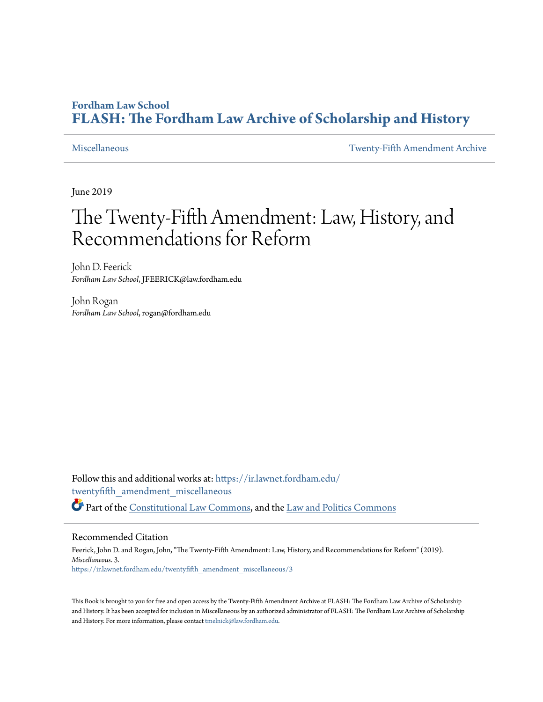# **Fordham Law School [FLASH: The Fordham Law Archive of Scholarship and History](https://ir.lawnet.fordham.edu?utm_source=ir.lawnet.fordham.edu%2Ftwentyfifth_amendment_miscellaneous%2F3&utm_medium=PDF&utm_campaign=PDFCoverPages)**

[Miscellaneous](https://ir.lawnet.fordham.edu/twentyfifth_amendment_miscellaneous?utm_source=ir.lawnet.fordham.edu%2Ftwentyfifth_amendment_miscellaneous%2F3&utm_medium=PDF&utm_campaign=PDFCoverPages) [Twenty-Fifth Amendment Archive](https://ir.lawnet.fordham.edu/twentyfifth_amendment_archive?utm_source=ir.lawnet.fordham.edu%2Ftwentyfifth_amendment_miscellaneous%2F3&utm_medium=PDF&utm_campaign=PDFCoverPages)

June 2019

# The Twenty-Fifth Amendment: Law, History, and Recommendations for Reform

John D. Feerick *Fordham Law School*, JFEERICK@law.fordham.edu

John Rogan *Fordham Law School*, rogan@fordham.edu

Follow this and additional works at: [https://ir.lawnet.fordham.edu/](https://ir.lawnet.fordham.edu/twentyfifth_amendment_miscellaneous?utm_source=ir.lawnet.fordham.edu%2Ftwentyfifth_amendment_miscellaneous%2F3&utm_medium=PDF&utm_campaign=PDFCoverPages) twentyfifth amendment miscellaneous Part of the [Constitutional Law Commons,](http://network.bepress.com/hgg/discipline/589?utm_source=ir.lawnet.fordham.edu%2Ftwentyfifth_amendment_miscellaneous%2F3&utm_medium=PDF&utm_campaign=PDFCoverPages) and the [Law and Politics Commons](http://network.bepress.com/hgg/discipline/867?utm_source=ir.lawnet.fordham.edu%2Ftwentyfifth_amendment_miscellaneous%2F3&utm_medium=PDF&utm_campaign=PDFCoverPages)

#### Recommended Citation

Feerick, John D. and Rogan, John, "The Twenty-Fifth Amendment: Law, History, and Recommendations for Reform" (2019). *Miscellaneous*. 3. [https://ir.lawnet.fordham.edu/twentyfifth\\_amendment\\_miscellaneous/3](https://ir.lawnet.fordham.edu/twentyfifth_amendment_miscellaneous/3?utm_source=ir.lawnet.fordham.edu%2Ftwentyfifth_amendment_miscellaneous%2F3&utm_medium=PDF&utm_campaign=PDFCoverPages)

This Book is brought to you for free and open access by the Twenty-Fifth Amendment Archive at FLASH: The Fordham Law Archive of Scholarship and History. It has been accepted for inclusion in Miscellaneous by an authorized administrator of FLASH: The Fordham Law Archive of Scholarship and History. For more information, please contact [tmelnick@law.fordham.edu.](mailto:tmelnick@law.fordham.edu)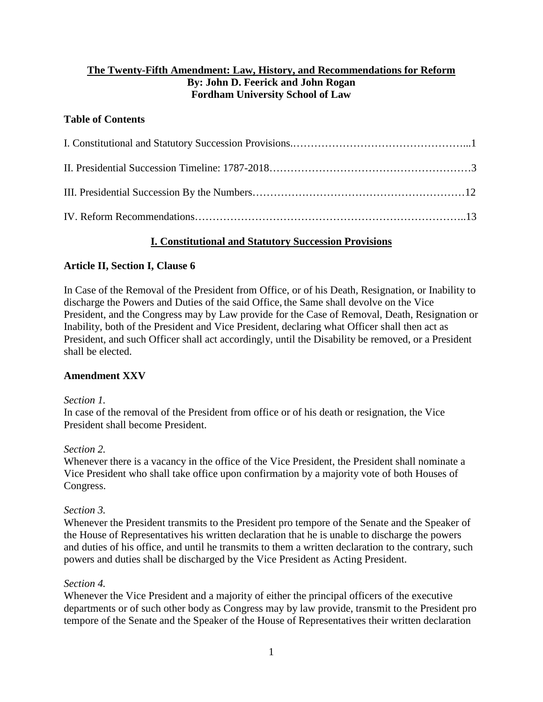# **The Twenty-Fifth Amendment: Law, History, and Recommendations for Reform By: John D. Feerick and John Rogan Fordham University School of Law**

# **Table of Contents**

# **I. Constitutional and Statutory Succession Provisions**

# **Article II, Section I, Clause 6**

In Case of the Removal of the President from Office, or of his Death, Resignation, or Inability to discharge the Powers and Duties of the said Office, the Same shall devolve on the Vice President, and the Congress may by Law provide for the Case of Removal, Death, Resignation or Inability, both of the President and Vice President, declaring what Officer shall then act as President, and such Officer shall act accordingly, until the Disability be removed, or a President shall be elected.

# **Amendment XXV**

# *Section 1.*

In case of the removal of the President from office or of his death or resignation, the Vice President shall become President.

# *Section 2.*

Whenever there is a vacancy in the office of the Vice President, the President shall nominate a Vice President who shall take office upon confirmation by a majority vote of both Houses of Congress.

# *Section 3.*

Whenever the President transmits to the President pro tempore of the Senate and the Speaker of the House of Representatives his written declaration that he is unable to discharge the powers and duties of his office, and until he transmits to them a written declaration to the contrary, such powers and duties shall be discharged by the Vice President as Acting President.

# *Section 4.*

Whenever the Vice President and a majority of either the principal officers of the executive departments or of such other body as Congress may by law provide, transmit to the President pro tempore of the Senate and the Speaker of the House of Representatives their written declaration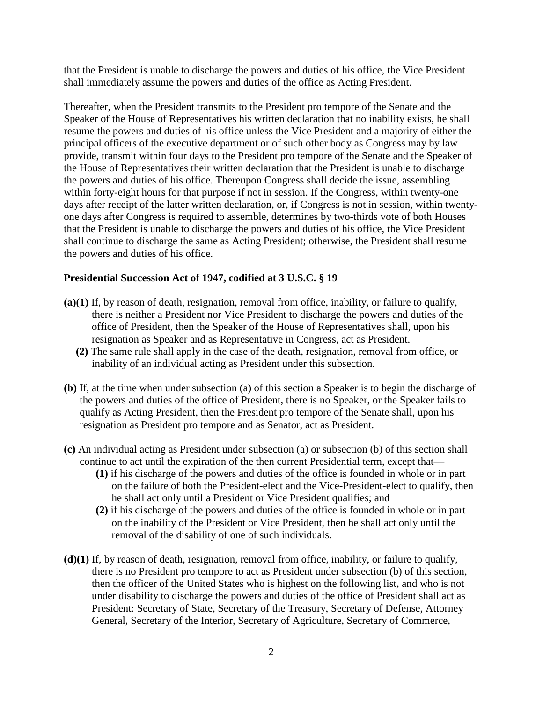that the President is unable to discharge the powers and duties of his office, the Vice President shall immediately assume the powers and duties of the office as Acting President.

Thereafter, when the President transmits to the President pro tempore of the Senate and the Speaker of the House of Representatives his written declaration that no inability exists, he shall resume the powers and duties of his office unless the Vice President and a majority of either the principal officers of the executive department or of such other body as Congress may by law provide, transmit within four days to the President pro tempore of the Senate and the Speaker of the House of Representatives their written declaration that the President is unable to discharge the powers and duties of his office. Thereupon Congress shall decide the issue, assembling within forty-eight hours for that purpose if not in session. If the Congress, within twenty-one days after receipt of the latter written declaration, or, if Congress is not in session, within twentyone days after Congress is required to assemble, determines by two-thirds vote of both Houses that the President is unable to discharge the powers and duties of his office, the Vice President shall continue to discharge the same as Acting President; otherwise, the President shall resume the powers and duties of his office.

#### **Presidential Succession Act of 1947, codified at 3 U.S.C. § 19**

- **(a)(1)** If, by reason of death, resignation, removal from office, inability, or failure to qualify, there is neither a President nor Vice President to discharge the powers and duties of the office of President, then the Speaker of the House of Representatives shall, upon his resignation as Speaker and as Representative in Congress, act as President.
	- **(2)** The same rule shall apply in the case of the death, resignation, removal from office, or inability of an individual acting as President under this subsection.
- **(b)** If, at the time when under subsection (a) of this section a Speaker is to begin the discharge of the powers and duties of the office of President, there is no Speaker, or the Speaker fails to qualify as Acting President, then the President pro tempore of the Senate shall, upon his resignation as President pro tempore and as Senator, act as President.
- **(c)** An individual acting as President under subsection (a) or subsection (b) of this section shall continue to act until the expiration of the then current Presidential term, except that—
	- **(1)** if his discharge of the powers and duties of the office is founded in whole or in part on the failure of both the President-elect and the Vice-President-elect to qualify, then he shall act only until a President or Vice President qualifies; and
	- **(2)** if his discharge of the powers and duties of the office is founded in whole or in part on the inability of the President or Vice President, then he shall act only until the removal of the disability of one of such individuals.
- **(d)(1)** If, by reason of death, resignation, removal from office, inability, or failure to qualify, there is no President pro tempore to act as President under subsection (b) of this section, then the officer of the United States who is highest on the following list, and who is not under disability to discharge the powers and duties of the office of President shall act as President: Secretary of State, Secretary of the Treasury, Secretary of Defense, Attorney General, Secretary of the Interior, Secretary of Agriculture, Secretary of Commerce,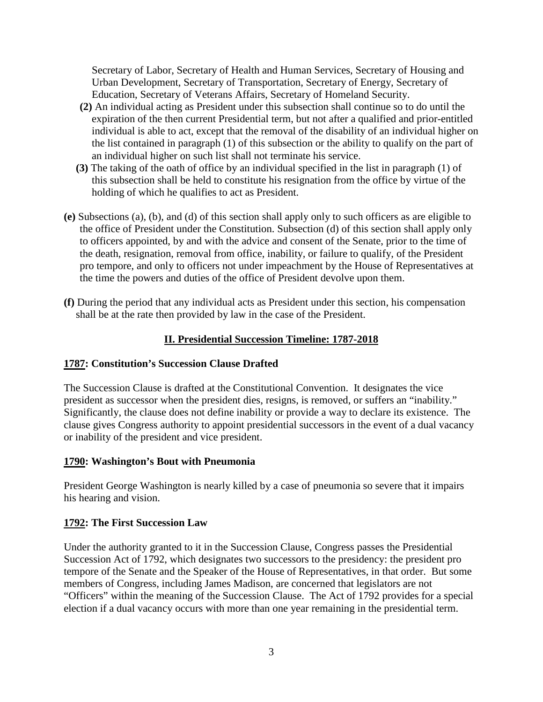Secretary of Labor, Secretary of Health and Human Services, Secretary of Housing and Urban Development, Secretary of Transportation, Secretary of Energy, Secretary of Education, Secretary of Veterans Affairs, Secretary of Homeland Security.

- **(2)** An individual acting as President under this subsection shall continue so to do until the expiration of the then current Presidential term, but not after a qualified and prior-entitled individual is able to act, except that the removal of the disability of an individual higher on the list contained in paragraph (1) of this subsection or the ability to qualify on the part of an individual higher on such list shall not terminate his service.
- **(3)** The taking of the oath of office by an individual specified in the list in paragraph (1) of this subsection shall be held to constitute his resignation from the office by virtue of the holding of which he qualifies to act as President.
- **(e)** Subsections (a), (b), and (d) of this section shall apply only to such officers as are eligible to the office of President under the Constitution. Subsection (d) of this section shall apply only to officers appointed, by and with the advice and consent of the Senate, prior to the time of the death, resignation, removal from office, inability, or failure to qualify, of the President pro tempore, and only to officers not under impeachment by the House of Representatives at the time the powers and duties of the office of President devolve upon them.
- **(f)** During the period that any individual acts as President under this section, his compensation shall be at the rate then provided by law in the case of the President.

# **II. Presidential Succession Timeline: 1787-2018**

# **1787: Constitution's Succession Clause Drafted**

The Succession Clause is drafted at the Constitutional Convention. It designates the vice president as successor when the president dies, resigns, is removed, or suffers an "inability." Significantly, the clause does not define inability or provide a way to declare its existence. The clause gives Congress authority to appoint presidential successors in the event of a dual vacancy or inability of the president and vice president.

# **1790: Washington's Bout with Pneumonia**

President George Washington is nearly killed by a case of pneumonia so severe that it impairs his hearing and vision.

# **1792: The First Succession Law**

Under the authority granted to it in the Succession Clause, Congress passes the Presidential Succession Act of 1792, which designates two successors to the presidency: the president pro tempore of the Senate and the Speaker of the House of Representatives, in that order. But some members of Congress, including James Madison, are concerned that legislators are not "Officers" within the meaning of the Succession Clause. The Act of 1792 provides for a special election if a dual vacancy occurs with more than one year remaining in the presidential term.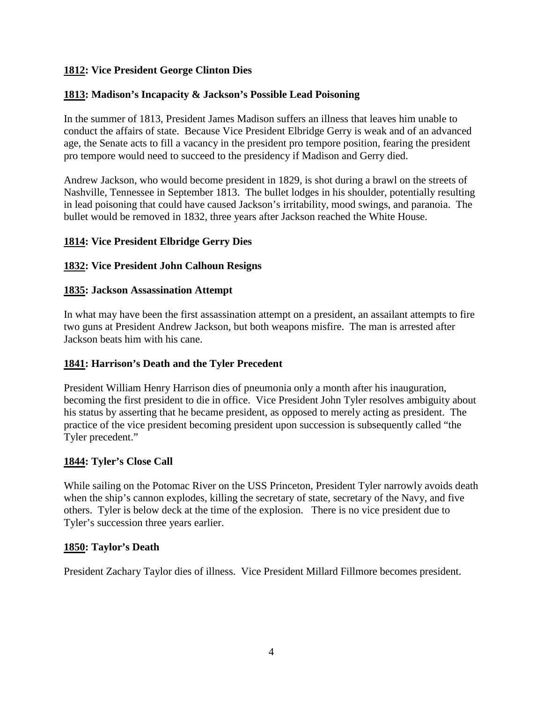# **1812: Vice President George Clinton Dies**

# **1813: Madison's Incapacity & Jackson's Possible Lead Poisoning**

In the summer of 1813, President James Madison suffers an illness that leaves him unable to conduct the affairs of state. Because Vice President Elbridge Gerry is weak and of an advanced age, the Senate acts to fill a vacancy in the president pro tempore position, fearing the president pro tempore would need to succeed to the presidency if Madison and Gerry died.

Andrew Jackson, who would become president in 1829, is shot during a brawl on the streets of Nashville, Tennessee in September 1813. The bullet lodges in his shoulder, potentially resulting in lead poisoning that could have caused Jackson's irritability, mood swings, and paranoia. The bullet would be removed in 1832, three years after Jackson reached the White House.

# **1814: Vice President Elbridge Gerry Dies**

# **1832: Vice President John Calhoun Resigns**

#### **1835: Jackson Assassination Attempt**

In what may have been the first assassination attempt on a president, an assailant attempts to fire two guns at President Andrew Jackson, but both weapons misfire. The man is arrested after Jackson beats him with his cane.

# **1841: Harrison's Death and the Tyler Precedent**

President William Henry Harrison dies of pneumonia only a month after his inauguration, becoming the first president to die in office. Vice President John Tyler resolves ambiguity about his status by asserting that he became president, as opposed to merely acting as president. The practice of the vice president becoming president upon succession is subsequently called "the Tyler precedent."

#### **1844: Tyler's Close Call**

While sailing on the Potomac River on the USS Princeton, President Tyler narrowly avoids death when the ship's cannon explodes, killing the secretary of state, secretary of the Navy, and five others. Tyler is below deck at the time of the explosion. There is no vice president due to Tyler's succession three years earlier.

#### **1850: Taylor's Death**

President Zachary Taylor dies of illness. Vice President Millard Fillmore becomes president.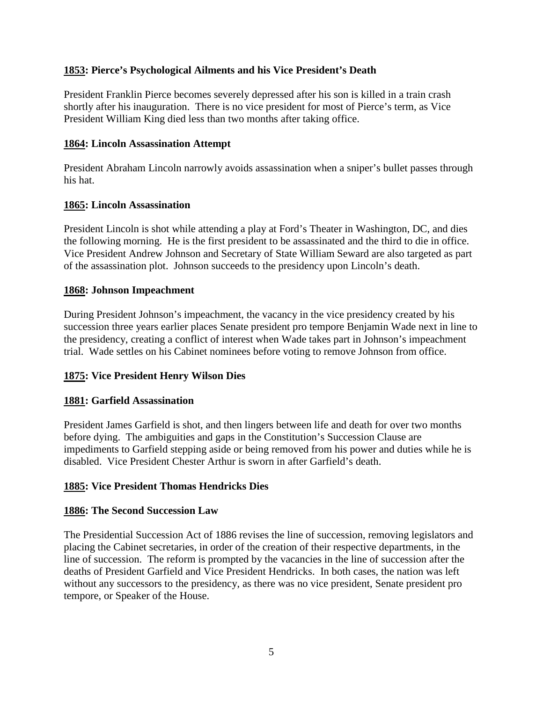### **1853: Pierce's Psychological Ailments and his Vice President's Death**

President Franklin Pierce becomes severely depressed after his son is killed in a train crash shortly after his inauguration. There is no vice president for most of Pierce's term, as Vice President William King died less than two months after taking office.

#### **1864: Lincoln Assassination Attempt**

President Abraham Lincoln narrowly avoids assassination when a sniper's bullet passes through his hat.

#### **1865: Lincoln Assassination**

President Lincoln is shot while attending a play at Ford's Theater in Washington, DC, and dies the following morning. He is the first president to be assassinated and the third to die in office. Vice President Andrew Johnson and Secretary of State William Seward are also targeted as part of the assassination plot. Johnson succeeds to the presidency upon Lincoln's death.

#### **1868: Johnson Impeachment**

During President Johnson's impeachment, the vacancy in the vice presidency created by his succession three years earlier places Senate president pro tempore Benjamin Wade next in line to the presidency, creating a conflict of interest when Wade takes part in Johnson's impeachment trial. Wade settles on his Cabinet nominees before voting to remove Johnson from office.

# **1875: Vice President Henry Wilson Dies**

#### **1881: Garfield Assassination**

President James Garfield is shot, and then lingers between life and death for over two months before dying. The ambiguities and gaps in the Constitution's Succession Clause are impediments to Garfield stepping aside or being removed from his power and duties while he is disabled. Vice President Chester Arthur is sworn in after Garfield's death.

# **1885: Vice President Thomas Hendricks Dies**

#### **1886: The Second Succession Law**

The Presidential Succession Act of 1886 revises the line of succession, removing legislators and placing the Cabinet secretaries, in order of the creation of their respective departments, in the line of succession. The reform is prompted by the vacancies in the line of succession after the deaths of President Garfield and Vice President Hendricks. In both cases, the nation was left without any successors to the presidency, as there was no vice president, Senate president pro tempore, or Speaker of the House.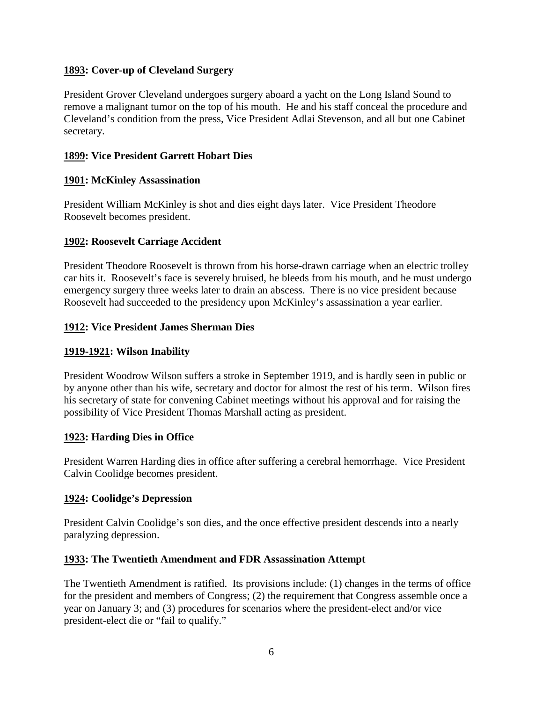### **1893: Cover-up of Cleveland Surgery**

President Grover Cleveland undergoes surgery aboard a yacht on the Long Island Sound to remove a malignant tumor on the top of his mouth. He and his staff conceal the procedure and Cleveland's condition from the press, Vice President Adlai Stevenson, and all but one Cabinet secretary.

### **1899: Vice President Garrett Hobart Dies**

#### **1901: McKinley Assassination**

President William McKinley is shot and dies eight days later. Vice President Theodore Roosevelt becomes president.

#### **1902: Roosevelt Carriage Accident**

President Theodore Roosevelt is thrown from his horse-drawn carriage when an electric trolley car hits it. Roosevelt's face is severely bruised, he bleeds from his mouth, and he must undergo emergency surgery three weeks later to drain an abscess. There is no vice president because Roosevelt had succeeded to the presidency upon McKinley's assassination a year earlier.

#### **1912: Vice President James Sherman Dies**

#### **1919-1921: Wilson Inability**

President Woodrow Wilson suffers a stroke in September 1919, and is hardly seen in public or by anyone other than his wife, secretary and doctor for almost the rest of his term. Wilson fires his secretary of state for convening Cabinet meetings without his approval and for raising the possibility of Vice President Thomas Marshall acting as president.

#### **1923: Harding Dies in Office**

President Warren Harding dies in office after suffering a cerebral hemorrhage. Vice President Calvin Coolidge becomes president.

#### **1924: Coolidge's Depression**

President Calvin Coolidge's son dies, and the once effective president descends into a nearly paralyzing depression.

#### **1933: The Twentieth Amendment and FDR Assassination Attempt**

The Twentieth Amendment is ratified. Its provisions include: (1) changes in the terms of office for the president and members of Congress; (2) the requirement that Congress assemble once a year on January 3; and (3) procedures for scenarios where the president-elect and/or vice president-elect die or "fail to qualify."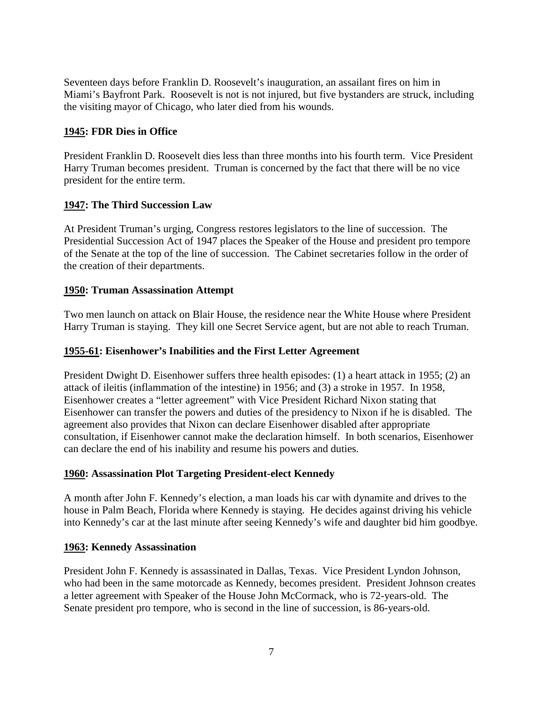Seventeen days before Franklin D. Roosevelt's inauguration, an assailant fires on him in Miami's Bayfront Park. Roosevelt is not is not injured, but five bystanders are struck, including the visiting mayor of Chicago, who later died from his wounds.

# **1945: FDR Dies in Office**

President Franklin D. Roosevelt dies less than three months into his fourth term. Vice President Harry Truman becomes president. Truman is concerned by the fact that there will be no vice president for the entire term.

# **1947: The Third Succession Law**

At President Truman's urging, Congress restores legislators to the line of succession. The Presidential Succession Act of 1947 places the Speaker of the House and president pro tempore of the Senate at the top of the line of succession. The Cabinet secretaries follow in the order of the creation of their departments.

# **1950: Truman Assassination Attempt**

Two men launch on attack on Blair House, the residence near the White House where President Harry Truman is staying. They kill one Secret Service agent, but are not able to reach Truman.

# **1955-61: Eisenhower's Inabilities and the First Letter Agreement**

President Dwight D. Eisenhower suffers three health episodes: (1) a heart attack in 1955; (2) an attack of ileitis (inflammation of the intestine) in 1956; and (3) a stroke in 1957. In 1958, Eisenhower creates a "letter agreement" with Vice President Richard Nixon stating that Eisenhower can transfer the powers and duties of the presidency to Nixon if he is disabled. The agreement also provides that Nixon can declare Eisenhower disabled after appropriate consultation, if Eisenhower cannot make the declaration himself. In both scenarios, Eisenhower can declare the end of his inability and resume his powers and duties.

#### **1960: Assassination Plot Targeting President-elect Kennedy**

A month after John F. Kennedy's election, a man loads his car with dynamite and drives to the house in Palm Beach, Florida where Kennedy is staying. He decides against driving his vehicle into Kennedy's car at the last minute after seeing Kennedy's wife and daughter bid him goodbye.

#### **1963: Kennedy Assassination**

President John F. Kennedy is assassinated in Dallas, Texas. Vice President Lyndon Johnson, who had been in the same motorcade as Kennedy, becomes president. President Johnson creates a letter agreement with Speaker of the House John McCormack, who is 72-years-old. The Senate president pro tempore, who is second in the line of succession, is 86-years-old.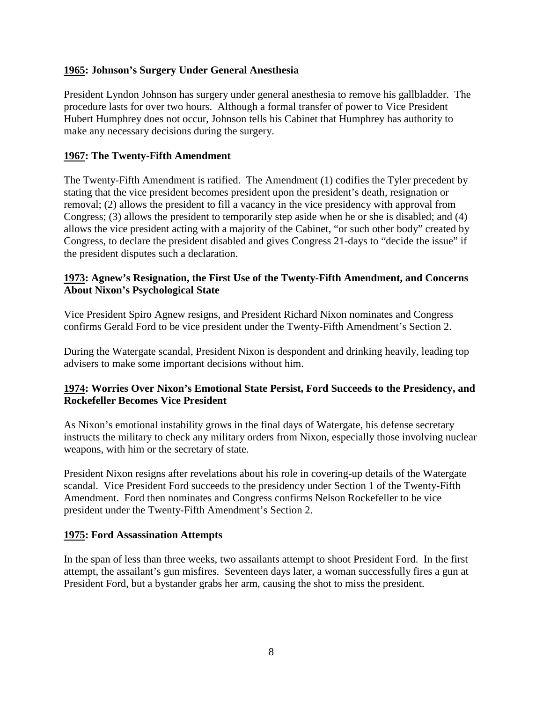#### **1965: Johnson's Surgery Under General Anesthesia**

President Lyndon Johnson has surgery under general anesthesia to remove his gallbladder. The procedure lasts for over two hours. Although a formal transfer of power to Vice President Hubert Humphrey does not occur, Johnson tells his Cabinet that Humphrey has authority to make any necessary decisions during the surgery.

#### **1967: The Twenty-Fifth Amendment**

The Twenty-Fifth Amendment is ratified. The Amendment (1) codifies the Tyler precedent by stating that the vice president becomes president upon the president's death, resignation or removal; (2) allows the president to fill a vacancy in the vice presidency with approval from Congress; (3) allows the president to temporarily step aside when he or she is disabled; and (4) allows the vice president acting with a majority of the Cabinet, "or such other body" created by Congress, to declare the president disabled and gives Congress 21-days to "decide the issue" if the president disputes such a declaration.

#### **1973: Agnew's Resignation, the First Use of the Twenty-Fifth Amendment, and Concerns About Nixon's Psychological State**

Vice President Spiro Agnew resigns, and President Richard Nixon nominates and Congress confirms Gerald Ford to be vice president under the Twenty-Fifth Amendment's Section 2.

During the Watergate scandal, President Nixon is despondent and drinking heavily, leading top advisers to make some important decisions without him.

# **1974: Worries Over Nixon's Emotional State Persist, Ford Succeeds to the Presidency, and Rockefeller Becomes Vice President**

As Nixon's emotional instability grows in the final days of Watergate, his defense secretary instructs the military to check any military orders from Nixon, especially those involving nuclear weapons, with him or the secretary of state.

President Nixon resigns after revelations about his role in covering-up details of the Watergate scandal. Vice President Ford succeeds to the presidency under Section 1 of the Twenty-Fifth Amendment. Ford then nominates and Congress confirms Nelson Rockefeller to be vice president under the Twenty-Fifth Amendment's Section 2.

#### **1975: Ford Assassination Attempts**

In the span of less than three weeks, two assailants attempt to shoot President Ford. In the first attempt, the assailant's gun misfires. Seventeen days later, a woman successfully fires a gun at President Ford, but a bystander grabs her arm, causing the shot to miss the president.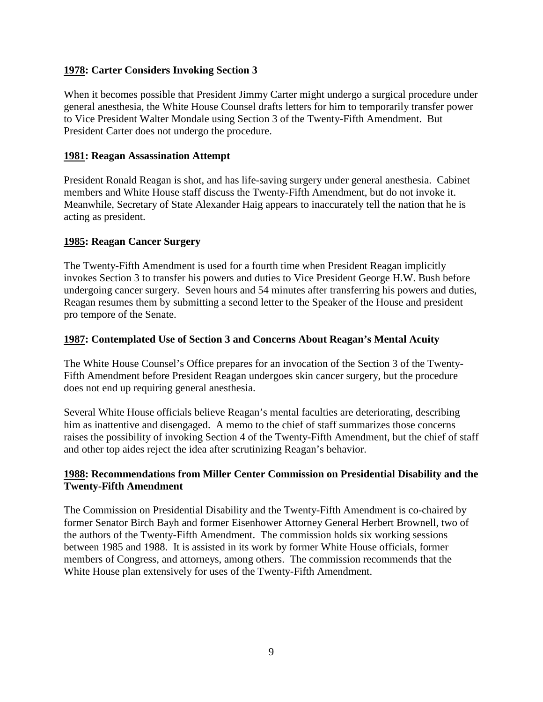#### **1978: Carter Considers Invoking Section 3**

When it becomes possible that President Jimmy Carter might undergo a surgical procedure under general anesthesia, the White House Counsel drafts letters for him to temporarily transfer power to Vice President Walter Mondale using Section 3 of the Twenty-Fifth Amendment. But President Carter does not undergo the procedure.

#### **1981: Reagan Assassination Attempt**

President Ronald Reagan is shot, and has life-saving surgery under general anesthesia. Cabinet members and White House staff discuss the Twenty-Fifth Amendment, but do not invoke it. Meanwhile, Secretary of State Alexander Haig appears to inaccurately tell the nation that he is acting as president.

# **1985: Reagan Cancer Surgery**

The Twenty-Fifth Amendment is used for a fourth time when President Reagan implicitly invokes Section 3 to transfer his powers and duties to Vice President George H.W. Bush before undergoing cancer surgery. Seven hours and 54 minutes after transferring his powers and duties, Reagan resumes them by submitting a second letter to the Speaker of the House and president pro tempore of the Senate.

#### **1987: Contemplated Use of Section 3 and Concerns About Reagan's Mental Acuity**

The White House Counsel's Office prepares for an invocation of the Section 3 of the Twenty-Fifth Amendment before President Reagan undergoes skin cancer surgery, but the procedure does not end up requiring general anesthesia.

Several White House officials believe Reagan's mental faculties are deteriorating, describing him as inattentive and disengaged. A memo to the chief of staff summarizes those concerns raises the possibility of invoking Section 4 of the Twenty-Fifth Amendment, but the chief of staff and other top aides reject the idea after scrutinizing Reagan's behavior.

#### **1988: Recommendations from Miller Center Commission on Presidential Disability and the Twenty-Fifth Amendment**

The Commission on Presidential Disability and the Twenty-Fifth Amendment is co-chaired by former Senator Birch Bayh and former Eisenhower Attorney General Herbert Brownell, two of the authors of the Twenty-Fifth Amendment. The commission holds six working sessions between 1985 and 1988. It is assisted in its work by former White House officials, former members of Congress, and attorneys, among others. The commission recommends that the White House plan extensively for uses of the Twenty-Fifth Amendment.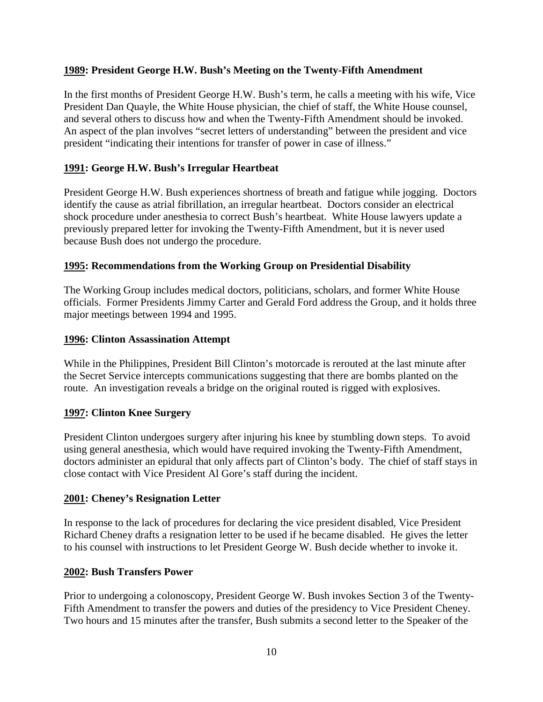#### **1989: President George H.W. Bush's Meeting on the Twenty-Fifth Amendment**

In the first months of President George H.W. Bush's term, he calls a meeting with his wife, Vice President Dan Quayle, the White House physician, the chief of staff, the White House counsel, and several others to discuss how and when the Twenty-Fifth Amendment should be invoked. An aspect of the plan involves "secret letters of understanding" between the president and vice president "indicating their intentions for transfer of power in case of illness."

#### **1991: George H.W. Bush's Irregular Heartbeat**

President George H.W. Bush experiences shortness of breath and fatigue while jogging. Doctors identify the cause as atrial fibrillation, an irregular heartbeat. Doctors consider an electrical shock procedure under anesthesia to correct Bush's heartbeat. White House lawyers update a previously prepared letter for invoking the Twenty-Fifth Amendment, but it is never used because Bush does not undergo the procedure.

#### **1995: Recommendations from the Working Group on Presidential Disability**

The Working Group includes medical doctors, politicians, scholars, and former White House officials. Former Presidents Jimmy Carter and Gerald Ford address the Group, and it holds three major meetings between 1994 and 1995.

#### **1996: Clinton Assassination Attempt**

While in the Philippines, President Bill Clinton's motorcade is rerouted at the last minute after the Secret Service intercepts communications suggesting that there are bombs planted on the route. An investigation reveals a bridge on the original routed is rigged with explosives.

#### **1997: Clinton Knee Surgery**

President Clinton undergoes surgery after injuring his knee by stumbling down steps. To avoid using general anesthesia, which would have required invoking the Twenty-Fifth Amendment, doctors administer an epidural that only affects part of Clinton's body. The chief of staff stays in close contact with Vice President Al Gore's staff during the incident.

#### **2001: Cheney's Resignation Letter**

In response to the lack of procedures for declaring the vice president disabled, Vice President Richard Cheney drafts a resignation letter to be used if he became disabled. He gives the letter to his counsel with instructions to let President George W. Bush decide whether to invoke it.

#### **2002: Bush Transfers Power**

Prior to undergoing a colonoscopy, President George W. Bush invokes Section 3 of the Twenty-Fifth Amendment to transfer the powers and duties of the presidency to Vice President Cheney. Two hours and 15 minutes after the transfer, Bush submits a second letter to the Speaker of the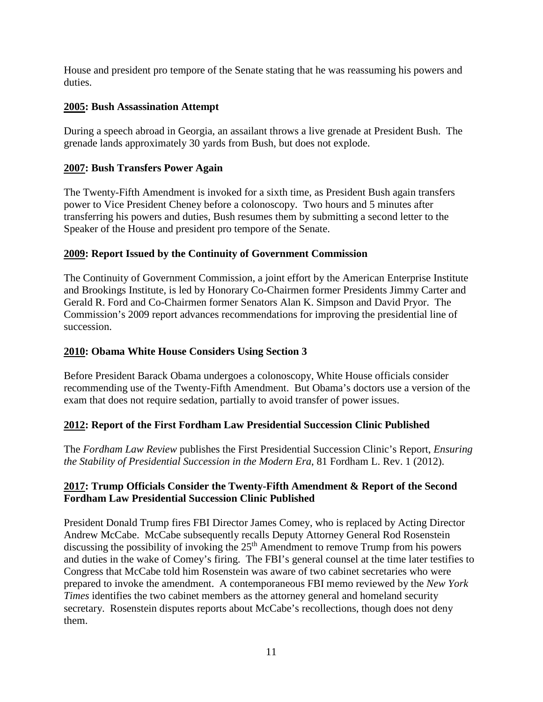House and president pro tempore of the Senate stating that he was reassuming his powers and duties.

# **2005: Bush Assassination Attempt**

During a speech abroad in Georgia, an assailant throws a live grenade at President Bush. The grenade lands approximately 30 yards from Bush, but does not explode.

# **2007: Bush Transfers Power Again**

The Twenty-Fifth Amendment is invoked for a sixth time, as President Bush again transfers power to Vice President Cheney before a colonoscopy. Two hours and 5 minutes after transferring his powers and duties, Bush resumes them by submitting a second letter to the Speaker of the House and president pro tempore of the Senate.

# **2009: Report Issued by the Continuity of Government Commission**

The Continuity of Government Commission, a joint effort by the American Enterprise Institute and Brookings Institute, is led by Honorary Co-Chairmen former Presidents Jimmy Carter and Gerald R. Ford and Co-Chairmen former Senators Alan K. Simpson and David Pryor. The Commission's 2009 report advances recommendations for improving the presidential line of succession.

# **2010: Obama White House Considers Using Section 3**

Before President Barack Obama undergoes a colonoscopy, White House officials consider recommending use of the Twenty-Fifth Amendment. But Obama's doctors use a version of the exam that does not require sedation, partially to avoid transfer of power issues.

# **2012: Report of the First Fordham Law Presidential Succession Clinic Published**

The *Fordham Law Review* publishes the First Presidential Succession Clinic's Report, *Ensuring the Stability of Presidential Succession in the Modern Era*, 81 Fordham L. Rev. 1 (2012).

# **2017: Trump Officials Consider the Twenty-Fifth Amendment & Report of the Second Fordham Law Presidential Succession Clinic Published**

President Donald Trump fires FBI Director James Comey, who is replaced by Acting Director Andrew McCabe. McCabe subsequently recalls Deputy Attorney General Rod Rosenstein discussing the possibility of invoking the  $25<sup>th</sup>$  Amendment to remove Trump from his powers and duties in the wake of Comey's firing. The FBI's general counsel at the time later testifies to Congress that McCabe told him Rosenstein was aware of two cabinet secretaries who were prepared to invoke the amendment. A contemporaneous FBI memo reviewed by the *New York Times* identifies the two cabinet members as the attorney general and homeland security secretary. Rosenstein disputes reports about McCabe's recollections, though does not deny them.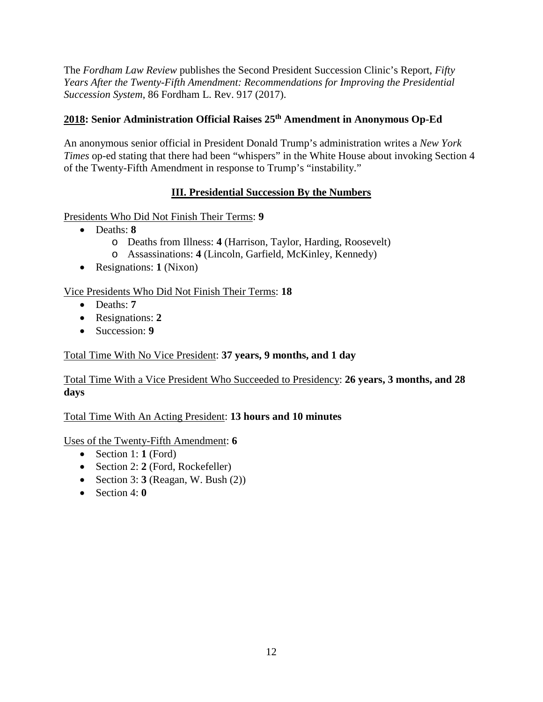The *Fordham Law Review* publishes the Second President Succession Clinic's Report, *Fifty Years After the Twenty-Fifth Amendment: Recommendations for Improving the Presidential Succession System*, 86 Fordham L. Rev. 917 (2017).

# **2018: Senior Administration Official Raises 25th Amendment in Anonymous Op-Ed**

An anonymous senior official in President Donald Trump's administration writes a *New York Times* op-ed stating that there had been "whispers" in the White House about invoking Section 4 of the Twenty-Fifth Amendment in response to Trump's "instability."

# **III. Presidential Succession By the Numbers**

Presidents Who Did Not Finish Their Terms: **9**

- Deaths: **8**
	- o Deaths from Illness: **4** (Harrison, Taylor, Harding, Roosevelt)
	- o Assassinations: **4** (Lincoln, Garfield, McKinley, Kennedy)
- Resignations: **1** (Nixon)

# Vice Presidents Who Did Not Finish Their Terms: **18**

- Deaths: **7**
- Resignations: **2**
- Succession: **9**

# Total Time With No Vice President: **37 years, 9 months, and 1 day**

# Total Time With a Vice President Who Succeeded to Presidency: **26 years, 3 months, and 28 days**

# Total Time With An Acting President: **13 hours and 10 minutes**

Uses of the Twenty-Fifth Amendment: **6**

- Section 1: **1** (Ford)
- Section 2: **2** (Ford, Rockefeller)
- Section 3: **3** (Reagan, W. Bush (2))
- Section 4: **0**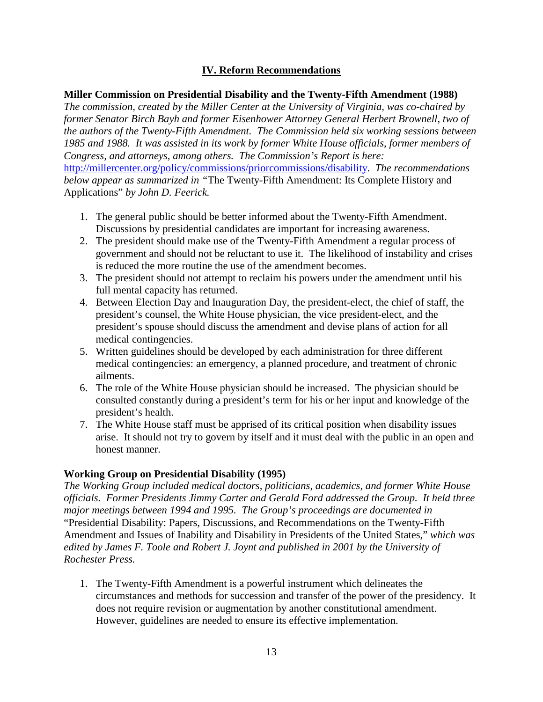# **IV. Reform Recommendations**

#### **Miller Commission on Presidential Disability and the Twenty-Fifth Amendment (1988)**

*The commission, created by the Miller Center at the University of Virginia, was co-chaired by former Senator Birch Bayh and former Eisenhower Attorney General Herbert Brownell, two of the authors of the Twenty-Fifth Amendment. The Commission held six working sessions between 1985 and 1988. It was assisted in its work by former White House officials, former members of Congress, and attorneys, among others. The Commission's Report is here:* [http://millercenter.org/policy/commissions/priorcommissions/disability.](http://millercenter.org/policy/commissions/priorcommissions/disability) *The recommendations below appear as summarized in "*The Twenty-Fifth Amendment: Its Complete History and Applications" *by John D. Feerick.*

- 1. The general public should be better informed about the Twenty-Fifth Amendment. Discussions by presidential candidates are important for increasing awareness.
- 2. The president should make use of the Twenty-Fifth Amendment a regular process of government and should not be reluctant to use it. The likelihood of instability and crises is reduced the more routine the use of the amendment becomes.
- 3. The president should not attempt to reclaim his powers under the amendment until his full mental capacity has returned.
- 4. Between Election Day and Inauguration Day, the president-elect, the chief of staff, the president's counsel, the White House physician, the vice president-elect, and the president's spouse should discuss the amendment and devise plans of action for all medical contingencies.
- 5. Written guidelines should be developed by each administration for three different medical contingencies: an emergency, a planned procedure, and treatment of chronic ailments.
- 6. The role of the White House physician should be increased. The physician should be consulted constantly during a president's term for his or her input and knowledge of the president's health.
- 7. The White House staff must be apprised of its critical position when disability issues arise. It should not try to govern by itself and it must deal with the public in an open and honest manner.

# **Working Group on Presidential Disability (1995)**

*The Working Group included medical doctors, politicians, academics, and former White House officials. Former Presidents Jimmy Carter and Gerald Ford addressed the Group. It held three major meetings between 1994 and 1995. The Group's proceedings are documented in*  "Presidential Disability: Papers, Discussions, and Recommendations on the Twenty-Fifth Amendment and Issues of Inability and Disability in Presidents of the United States," *which was edited by James F. Toole and Robert J. Joynt and published in 2001 by the University of Rochester Press.*

1. The Twenty-Fifth Amendment is a powerful instrument which delineates the circumstances and methods for succession and transfer of the power of the presidency. It does not require revision or augmentation by another constitutional amendment. However, guidelines are needed to ensure its effective implementation.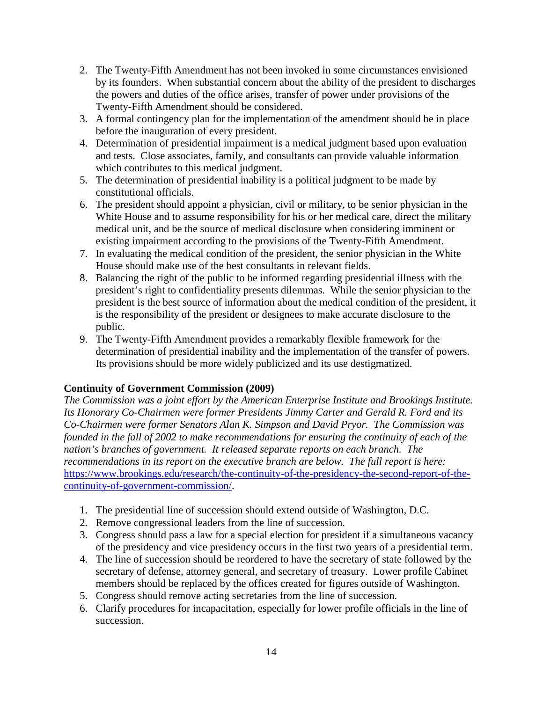- 2. The Twenty-Fifth Amendment has not been invoked in some circumstances envisioned by its founders. When substantial concern about the ability of the president to discharges the powers and duties of the office arises, transfer of power under provisions of the Twenty-Fifth Amendment should be considered.
- 3. A formal contingency plan for the implementation of the amendment should be in place before the inauguration of every president.
- 4. Determination of presidential impairment is a medical judgment based upon evaluation and tests. Close associates, family, and consultants can provide valuable information which contributes to this medical judgment.
- 5. The determination of presidential inability is a political judgment to be made by constitutional officials.
- 6. The president should appoint a physician, civil or military, to be senior physician in the White House and to assume responsibility for his or her medical care, direct the military medical unit, and be the source of medical disclosure when considering imminent or existing impairment according to the provisions of the Twenty-Fifth Amendment.
- 7. In evaluating the medical condition of the president, the senior physician in the White House should make use of the best consultants in relevant fields.
- 8. Balancing the right of the public to be informed regarding presidential illness with the president's right to confidentiality presents dilemmas. While the senior physician to the president is the best source of information about the medical condition of the president, it is the responsibility of the president or designees to make accurate disclosure to the public.
- 9. The Twenty-Fifth Amendment provides a remarkably flexible framework for the determination of presidential inability and the implementation of the transfer of powers. Its provisions should be more widely publicized and its use destigmatized.

# **Continuity of Government Commission (2009)**

*The Commission was a joint effort by the American Enterprise Institute and Brookings Institute. Its Honorary Co-Chairmen were former Presidents Jimmy Carter and Gerald R. Ford and its Co-Chairmen were former Senators Alan K. Simpson and David Pryor. The Commission was founded in the fall of 2002 to make recommendations for ensuring the continuity of each of the nation's branches of government. It released separate reports on each branch. The recommendations in its report on the executive branch are below. The full report is here:* [https://www.brookings.edu/research/the-continuity-of-the-presidency-the-second-report-of-the](https://www.brookings.edu/research/the-continuity-of-the-presidency-the-second-report-of-the-continuity-of-government-commission/)[continuity-of-government-commission/.](https://www.brookings.edu/research/the-continuity-of-the-presidency-the-second-report-of-the-continuity-of-government-commission/)

- 1. The presidential line of succession should extend outside of Washington, D.C.
- 2. Remove congressional leaders from the line of succession.
- 3. Congress should pass a law for a special election for president if a simultaneous vacancy of the presidency and vice presidency occurs in the first two years of a presidential term.
- 4. The line of succession should be reordered to have the secretary of state followed by the secretary of defense, attorney general, and secretary of treasury. Lower profile Cabinet members should be replaced by the offices created for figures outside of Washington.
- 5. Congress should remove acting secretaries from the line of succession.
- 6. Clarify procedures for incapacitation, especially for lower profile officials in the line of succession.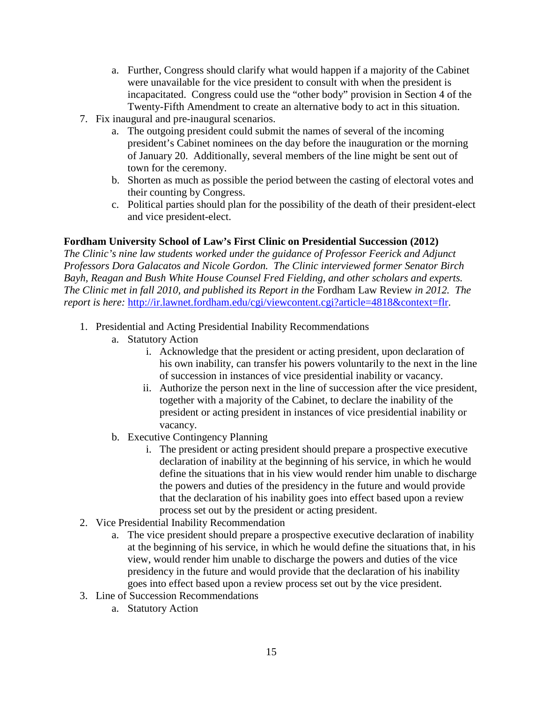- a. Further, Congress should clarify what would happen if a majority of the Cabinet were unavailable for the vice president to consult with when the president is incapacitated. Congress could use the "other body" provision in Section 4 of the Twenty-Fifth Amendment to create an alternative body to act in this situation.
- 7. Fix inaugural and pre-inaugural scenarios.
	- a. The outgoing president could submit the names of several of the incoming president's Cabinet nominees on the day before the inauguration or the morning of January 20. Additionally, several members of the line might be sent out of town for the ceremony.
	- b. Shorten as much as possible the period between the casting of electoral votes and their counting by Congress.
	- c. Political parties should plan for the possibility of the death of their president-elect and vice president-elect.

# **Fordham University School of Law's First Clinic on Presidential Succession (2012)**

*The Clinic's nine law students worked under the guidance of Professor Feerick and Adjunct Professors Dora Galacatos and Nicole Gordon. The Clinic interviewed former Senator Birch Bayh, Reagan and Bush White House Counsel Fred Fielding, and other scholars and experts. The Clinic met in fall 2010, and published its Report in the* Fordham Law Review *in 2012. The report is here:* [http://ir.lawnet.fordham.edu/cgi/viewcontent.cgi?article=4818&context=flr.](http://ir.lawnet.fordham.edu/cgi/viewcontent.cgi?article=4818&context=flr)

- 1. Presidential and Acting Presidential Inability Recommendations
	- a. Statutory Action
		- i. Acknowledge that the president or acting president, upon declaration of his own inability, can transfer his powers voluntarily to the next in the line of succession in instances of vice presidential inability or vacancy.
		- ii. Authorize the person next in the line of succession after the vice president, together with a majority of the Cabinet, to declare the inability of the president or acting president in instances of vice presidential inability or vacancy.
	- b. Executive Contingency Planning
		- i. The president or acting president should prepare a prospective executive declaration of inability at the beginning of his service, in which he would define the situations that in his view would render him unable to discharge the powers and duties of the presidency in the future and would provide that the declaration of his inability goes into effect based upon a review process set out by the president or acting president.
- 2. Vice Presidential Inability Recommendation
	- a. The vice president should prepare a prospective executive declaration of inability at the beginning of his service, in which he would define the situations that, in his view, would render him unable to discharge the powers and duties of the vice presidency in the future and would provide that the declaration of his inability goes into effect based upon a review process set out by the vice president.
- 3. Line of Succession Recommendations
	- a. Statutory Action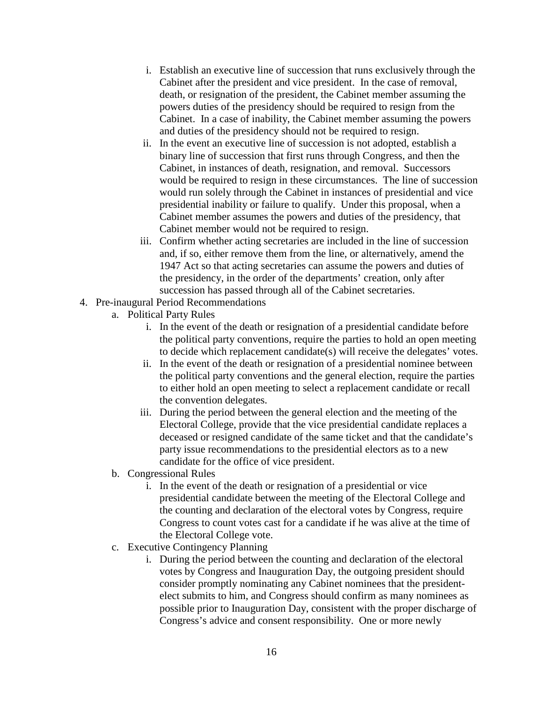- i. Establish an executive line of succession that runs exclusively through the Cabinet after the president and vice president. In the case of removal, death, or resignation of the president, the Cabinet member assuming the powers duties of the presidency should be required to resign from the Cabinet. In a case of inability, the Cabinet member assuming the powers and duties of the presidency should not be required to resign.
- ii. In the event an executive line of succession is not adopted, establish a binary line of succession that first runs through Congress, and then the Cabinet, in instances of death, resignation, and removal. Successors would be required to resign in these circumstances. The line of succession would run solely through the Cabinet in instances of presidential and vice presidential inability or failure to qualify. Under this proposal, when a Cabinet member assumes the powers and duties of the presidency, that Cabinet member would not be required to resign.
- iii. Confirm whether acting secretaries are included in the line of succession and, if so, either remove them from the line, or alternatively, amend the 1947 Act so that acting secretaries can assume the powers and duties of the presidency, in the order of the departments' creation, only after succession has passed through all of the Cabinet secretaries.
- 4. Pre-inaugural Period Recommendations
	- a. Political Party Rules
		- i. In the event of the death or resignation of a presidential candidate before the political party conventions, require the parties to hold an open meeting to decide which replacement candidate(s) will receive the delegates' votes.
		- ii. In the event of the death or resignation of a presidential nominee between the political party conventions and the general election, require the parties to either hold an open meeting to select a replacement candidate or recall the convention delegates.
		- iii. During the period between the general election and the meeting of the Electoral College, provide that the vice presidential candidate replaces a deceased or resigned candidate of the same ticket and that the candidate's party issue recommendations to the presidential electors as to a new candidate for the office of vice president.
	- b. Congressional Rules
		- i. In the event of the death or resignation of a presidential or vice presidential candidate between the meeting of the Electoral College and the counting and declaration of the electoral votes by Congress, require Congress to count votes cast for a candidate if he was alive at the time of the Electoral College vote.
	- c. Executive Contingency Planning
		- i. During the period between the counting and declaration of the electoral votes by Congress and Inauguration Day, the outgoing president should consider promptly nominating any Cabinet nominees that the presidentelect submits to him, and Congress should confirm as many nominees as possible prior to Inauguration Day, consistent with the proper discharge of Congress's advice and consent responsibility. One or more newly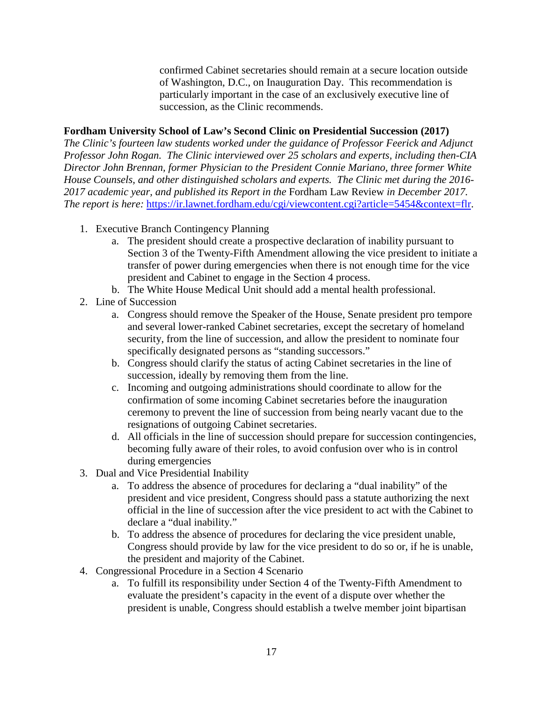confirmed Cabinet secretaries should remain at a secure location outside of Washington, D.C., on Inauguration Day. This recommendation is particularly important in the case of an exclusively executive line of succession, as the Clinic recommends.

#### **Fordham University School of Law's Second Clinic on Presidential Succession (2017)**

*The Clinic's fourteen law students worked under the guidance of Professor Feerick and Adjunct Professor John Rogan. The Clinic interviewed over 25 scholars and experts, including then-CIA Director John Brennan, former Physician to the President Connie Mariano, three former White House Counsels, and other distinguished scholars and experts. The Clinic met during the 2016- 2017 academic year, and published its Report in the* Fordham Law Review *in December 2017. The report is here:* [https://ir.lawnet.fordham.edu/cgi/viewcontent.cgi?article=5454&context=flr.](https://ir.lawnet.fordham.edu/cgi/viewcontent.cgi?article=5454&context=flr)

- 1. Executive Branch Contingency Planning
	- a. The president should create a prospective declaration of inability pursuant to Section 3 of the Twenty-Fifth Amendment allowing the vice president to initiate a transfer of power during emergencies when there is not enough time for the vice president and Cabinet to engage in the Section 4 process.
	- b. The White House Medical Unit should add a mental health professional.
- 2. Line of Succession
	- a. Congress should remove the Speaker of the House, Senate president pro tempore and several lower-ranked Cabinet secretaries, except the secretary of homeland security, from the line of succession, and allow the president to nominate four specifically designated persons as "standing successors."
	- b. Congress should clarify the status of acting Cabinet secretaries in the line of succession, ideally by removing them from the line.
	- c. Incoming and outgoing administrations should coordinate to allow for the confirmation of some incoming Cabinet secretaries before the inauguration ceremony to prevent the line of succession from being nearly vacant due to the resignations of outgoing Cabinet secretaries.
	- d. All officials in the line of succession should prepare for succession contingencies, becoming fully aware of their roles, to avoid confusion over who is in control during emergencies
- 3. Dual and Vice Presidential Inability
	- a. To address the absence of procedures for declaring a "dual inability" of the president and vice president, Congress should pass a statute authorizing the next official in the line of succession after the vice president to act with the Cabinet to declare a "dual inability."
	- b. To address the absence of procedures for declaring the vice president unable, Congress should provide by law for the vice president to do so or, if he is unable, the president and majority of the Cabinet.
- 4. Congressional Procedure in a Section 4 Scenario
	- a. To fulfill its responsibility under Section 4 of the Twenty-Fifth Amendment to evaluate the president's capacity in the event of a dispute over whether the president is unable, Congress should establish a twelve member joint bipartisan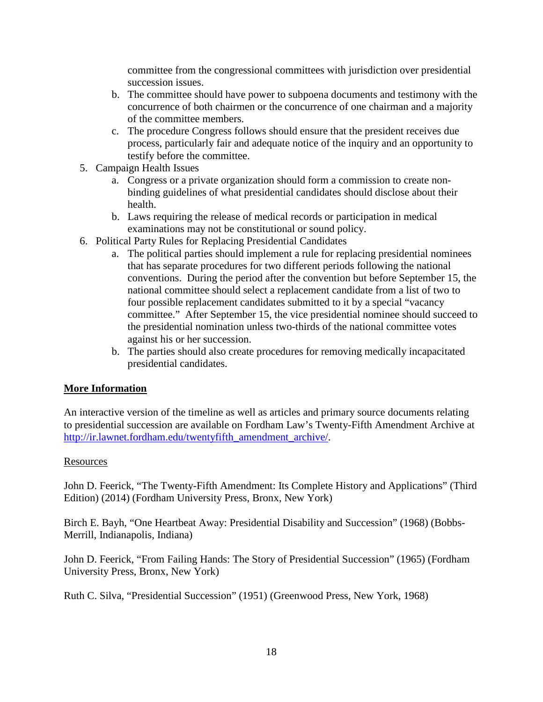committee from the congressional committees with jurisdiction over presidential succession issues.

- b. The committee should have power to subpoena documents and testimony with the concurrence of both chairmen or the concurrence of one chairman and a majority of the committee members.
- c. The procedure Congress follows should ensure that the president receives due process, particularly fair and adequate notice of the inquiry and an opportunity to testify before the committee.
- 5. Campaign Health Issues
	- a. Congress or a private organization should form a commission to create nonbinding guidelines of what presidential candidates should disclose about their health.
	- b. Laws requiring the release of medical records or participation in medical examinations may not be constitutional or sound policy.
- 6. Political Party Rules for Replacing Presidential Candidates
	- a. The political parties should implement a rule for replacing presidential nominees that has separate procedures for two different periods following the national conventions. During the period after the convention but before September 15, the national committee should select a replacement candidate from a list of two to four possible replacement candidates submitted to it by a special "vacancy committee." After September 15, the vice presidential nominee should succeed to the presidential nomination unless two-thirds of the national committee votes against his or her succession.
	- b. The parties should also create procedures for removing medically incapacitated presidential candidates.

#### **More Information**

An interactive version of the timeline as well as articles and primary source documents relating to presidential succession are available on Fordham Law's Twenty-Fifth Amendment Archive at [http://ir.lawnet.fordham.edu/twentyfifth\\_amendment\\_archive/.](http://ir.lawnet.fordham.edu/twentyfifth_amendment_archive/)

# **Resources**

John D. Feerick, "The Twenty-Fifth Amendment: Its Complete History and Applications" (Third Edition) (2014) (Fordham University Press, Bronx, New York)

Birch E. Bayh, "One Heartbeat Away: Presidential Disability and Succession" (1968) (Bobbs-Merrill, Indianapolis, Indiana)

John D. Feerick, "From Failing Hands: The Story of Presidential Succession" (1965) (Fordham University Press, Bronx, New York)

Ruth C. Silva, "Presidential Succession" (1951) (Greenwood Press, New York, 1968)